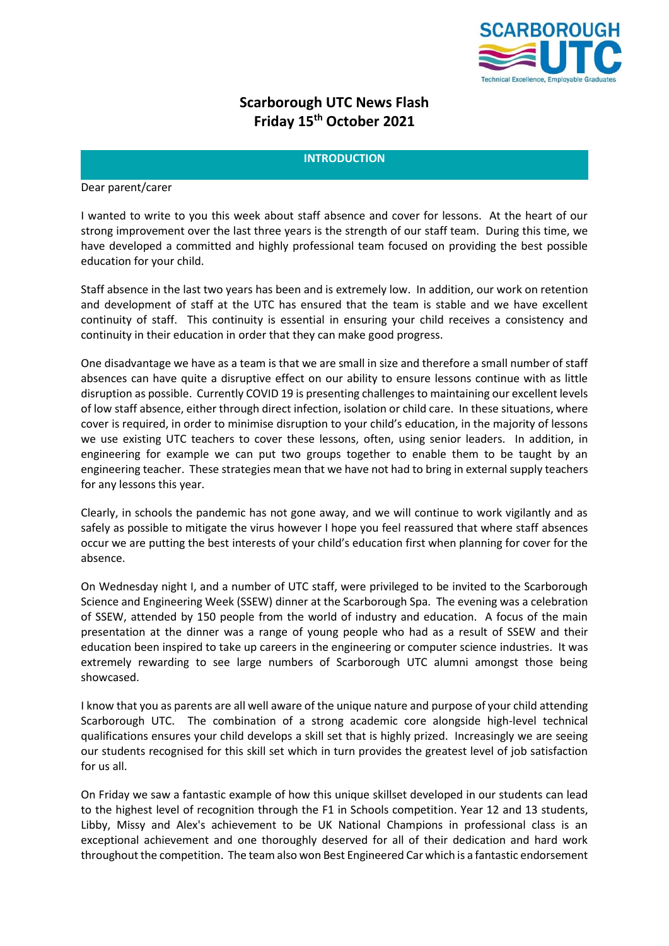

# **Scarborough UTC News Flash Friday 15 th October 2021**

# **INTRODUCTION**

Dear parent/carer

I wanted to write to you this week about staff absence and cover for lessons. At the heart of our strong improvement over the last three years is the strength of our staff team. During this time, we have developed a committed and highly professional team focused on providing the best possible education for your child.

Staff absence in the last two years has been and is extremely low. In addition, our work on retention and development of staff at the UTC has ensured that the team is stable and we have excellent continuity of staff. This continuity is essential in ensuring your child receives a consistency and continuity in their education in order that they can make good progress.

One disadvantage we have as a team is that we are small in size and therefore a small number of staff absences can have quite a disruptive effect on our ability to ensure lessons continue with as little disruption as possible. Currently COVID 19 is presenting challenges to maintaining our excellent levels of low staff absence, either through direct infection, isolation or child care. In these situations, where cover is required, in order to minimise disruption to your child's education, in the majority of lessons we use existing UTC teachers to cover these lessons, often, using senior leaders. In addition, in engineering for example we can put two groups together to enable them to be taught by an engineering teacher. These strategies mean that we have not had to bring in external supply teachers for any lessons this year.

Clearly, in schools the pandemic has not gone away, and we will continue to work vigilantly and as safely as possible to mitigate the virus however I hope you feel reassured that where staff absences occur we are putting the best interests of your child's education first when planning for cover for the absence.

On Wednesday night I, and a number of UTC staff, were privileged to be invited to the Scarborough Science and Engineering Week (SSEW) dinner at the Scarborough Spa. The evening was a celebration of SSEW, attended by 150 people from the world of industry and education. A focus of the main presentation at the dinner was a range of young people who had as a result of SSEW and their education been inspired to take up careers in the engineering or computer science industries. It was extremely rewarding to see large numbers of Scarborough UTC alumni amongst those being showcased.

I know that you as parents are all well aware of the unique nature and purpose of your child attending Scarborough UTC. The combination of a strong academic core alongside high-level technical qualifications ensures your child develops a skill set that is highly prized. Increasingly we are seeing our students recognised for this skill set which in turn provides the greatest level of job satisfaction for us all.

On Friday we saw a fantastic example of how this unique skillset developed in our students can lead to the highest level of recognition through the F1 in Schools competition. Year 12 and 13 students, Libby, Missy and Alex's achievement to be UK National Champions in professional class is an exceptional achievement and one thoroughly deserved for all of their dedication and hard work throughout the competition. The team also won Best Engineered Car which is a fantastic endorsement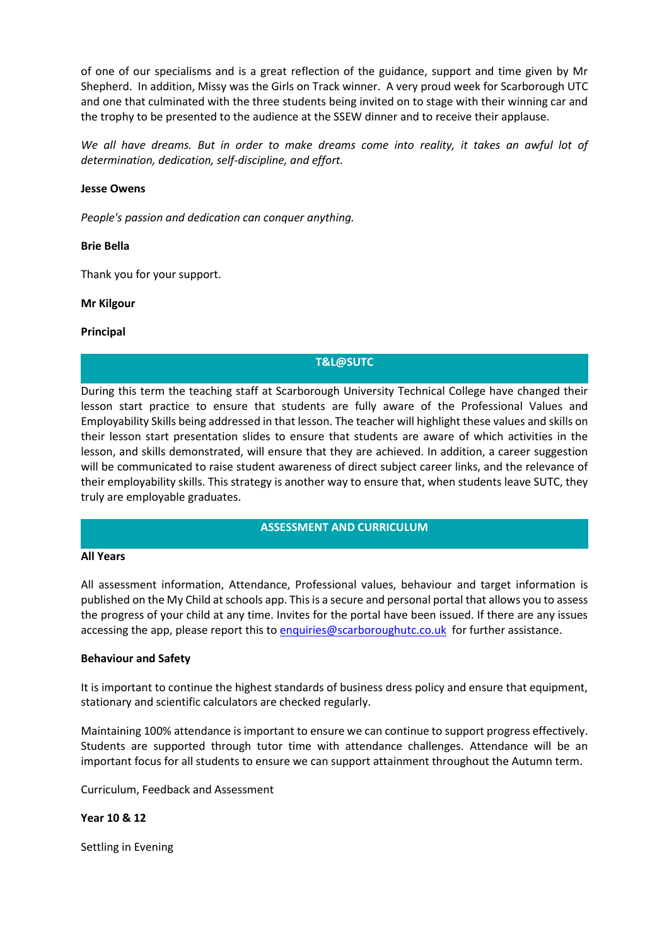of one of our specialisms and is a great reflection of the guidance, support and time given by Mr Shepherd. In addition, Missy was the Girls on Track winner. A very proud week for Scarborough UTC and one that culminated with the three students being invited on to stage with their winning car and the trophy to be presented to the audience at the SSEW dinner and to receive their applause.

We all have dreams. But in order to make dreams come into reality, it takes an awful lot of *determination, dedication, self-discipline, and effort.*

# **[Jesse Owens](https://www.brainyquote.com/authors/jesse-owens-quotes)**

*People's passion and dedication can conquer anything.*

## **[Brie Bella](https://www.brainyquote.com/authors/brie-bella-quotes)**

Thank you for your support.

## **Mr Kilgour**

## **Principal**

# **T&L@SUTC**

During this term the teaching staff at Scarborough University Technical College have changed their lesson start practice to ensure that students are fully aware of the Professional Values and Employability Skills being addressed in that lesson. The teacher will highlight these values and skills on their lesson start presentation slides to ensure that students are aware of which activities in the lesson, and skills demonstrated, will ensure that they are achieved. In addition, a career suggestion will be communicated to raise student awareness of direct subject career links, and the relevance of their employability skills. This strategy is another way to ensure that, when students leave SUTC, they truly are employable graduates.

# **ASSESSMENT AND CURRICULUM**

#### **All Years**

All assessment information, Attendance, Professional values, behaviour and target information is published on the My Child at schools app. This is a secure and personal portal that allows you to assess the progress of your child at any time. Invites for the portal have been issued. If there are any issues accessing the app, please report this to [enquiries@scarboroughutc.co.uk](mailto:enquiries@scarboroughutc.co.uk) for further assistance.

# **Behaviour and Safety**

It is important to continue the highest standards of business dress policy and ensure that equipment, stationary and scientific calculators are checked regularly.

Maintaining 100% attendance is important to ensure we can continue to support progress effectively. Students are supported through tutor time with attendance challenges. Attendance will be an important focus for all students to ensure we can support attainment throughout the Autumn term.

Curriculum, Feedback and Assessment

**Year 10 & 12**

Settling in Evening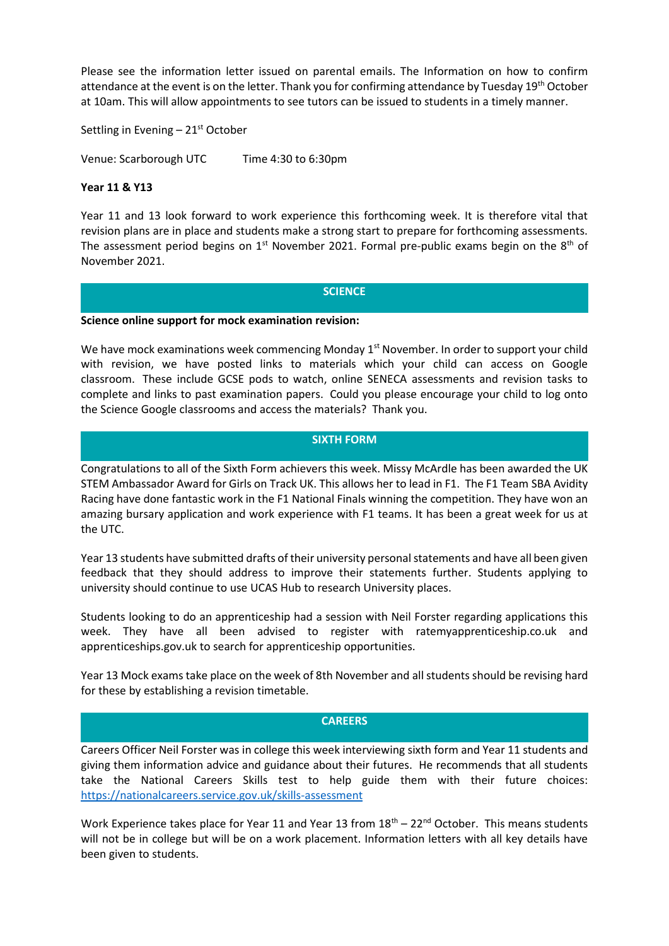Please see the information letter issued on parental emails. The Information on how to confirm attendance at the event is on the letter. Thank you for confirming attendance by Tuesday 19<sup>th</sup> October at 10am. This will allow appointments to see tutors can be issued to students in a timely manner.

Settling in Evening  $-21<sup>st</sup>$  October

Venue: Scarborough UTC Time 4:30 to 6:30pm

## **Year 11 & Y13**

Year 11 and 13 look forward to work experience this forthcoming week. It is therefore vital that revision plans are in place and students make a strong start to prepare for forthcoming assessments. The assessment period begins on  $1<sup>st</sup>$  November 2021. Formal pre-public exams begin on the 8<sup>th</sup> of November 2021.

# **SCIENCE**

#### **Science online support for mock examination revision:**

We have mock examinations week commencing Monday  $1<sup>st</sup>$  November. In order to support your child with revision, we have posted links to materials which your child can access on Google classroom. These include GCSE pods to watch, online SENECA assessments and revision tasks to complete and links to past examination papers. Could you please encourage your child to log onto the Science Google classrooms and access the materials? Thank you.

# **SIXTH FORM**

Congratulations to all of the Sixth Form achievers this week. Missy McArdle has been awarded the UK STEM Ambassador Award for Girls on Track UK. This allows her to lead in F1. The F1 Team SBA Avidity Racing have done fantastic work in the F1 National Finals winning the competition. They have won an amazing bursary application and work experience with F1 teams. It has been a great week for us at the UTC.

Year 13 students have submitted drafts of their university personal statements and have all been given feedback that they should address to improve their statements further. Students applying to university should continue to use UCAS Hub to research University places.

Students looking to do an apprenticeship had a session with Neil Forster regarding applications this week. They have all been advised to register with ratemyapprenticeship.co.uk and apprenticeships.gov.uk to search for apprenticeship opportunities.

Year 13 Mock exams take place on the week of 8th November and all students should be revising hard for these by establishing a revision timetable.

## **CAREERS**

Careers Officer Neil Forster was in college this week interviewing sixth form and Year 11 students and giving them information advice and guidance about their futures. He recommends that all students take the National Careers Skills test to help guide them with their future choices: <https://nationalcareers.service.gov.uk/skills-assessment>

Work Experience takes place for Year 11 and Year 13 from  $18<sup>th</sup> - 22<sup>nd</sup>$  October. This means students will not be in college but will be on a work placement. Information letters with all key details have been given to students.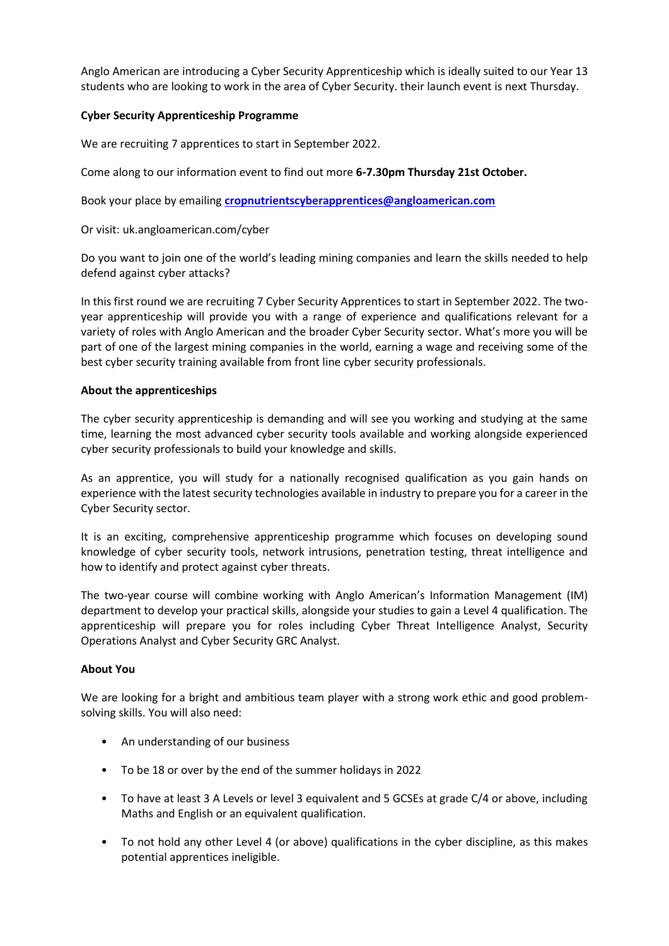Anglo American are introducing a Cyber Security Apprenticeship which is ideally suited to our Year 13 students who are looking to work in the area of Cyber Security. their launch event is next Thursday.

# **Cyber Security Apprenticeship Programme**

We are recruiting 7 apprentices to start in September 2022.

Come along to our information event to find out more **6-7.30pm Thursday 21st October.** 

Book your place by emailing **[cropnutrientscyberapprentices@angloamerican.com](mailto:cropnutrientscyberapprentices@angloamerican.com)**

Or visit: uk.angloamerican.com/cyber

Do you want to join one of the world's leading mining companies and learn the skills needed to help defend against cyber attacks?

In this first round we are recruiting 7 Cyber Security Apprentices to start in September 2022. The twoyear apprenticeship will provide you with a range of experience and qualifications relevant for a variety of roles with Anglo American and the broader Cyber Security sector. What's more you will be part of one of the largest mining companies in the world, earning a wage and receiving some of the best cyber security training available from front line cyber security professionals.

# **About the apprenticeships**

The cyber security apprenticeship is demanding and will see you working and studying at the same time, learning the most advanced cyber security tools available and working alongside experienced cyber security professionals to build your knowledge and skills.

As an apprentice, you will study for a nationally recognised qualification as you gain hands on experience with the latest security technologies available in industry to prepare you for a career in the Cyber Security sector.

It is an exciting, comprehensive apprenticeship programme which focuses on developing sound knowledge of cyber security tools, network intrusions, penetration testing, threat intelligence and how to identify and protect against cyber threats.

The two-year course will combine working with Anglo American's Information Management (IM) department to develop your practical skills, alongside your studies to gain a Level 4 qualification. The apprenticeship will prepare you for roles including Cyber Threat Intelligence Analyst, Security Operations Analyst and Cyber Security GRC Analyst.

# **About You**

We are looking for a bright and ambitious team player with a strong work ethic and good problemsolving skills. You will also need:

- An understanding of our business
- To be 18 or over by the end of the summer holidays in 2022
- To have at least 3 A Levels or level 3 equivalent and 5 GCSEs at grade C/4 or above, including Maths and English or an equivalent qualification.
- To not hold any other Level 4 (or above) qualifications in the cyber discipline, as this makes potential apprentices ineligible.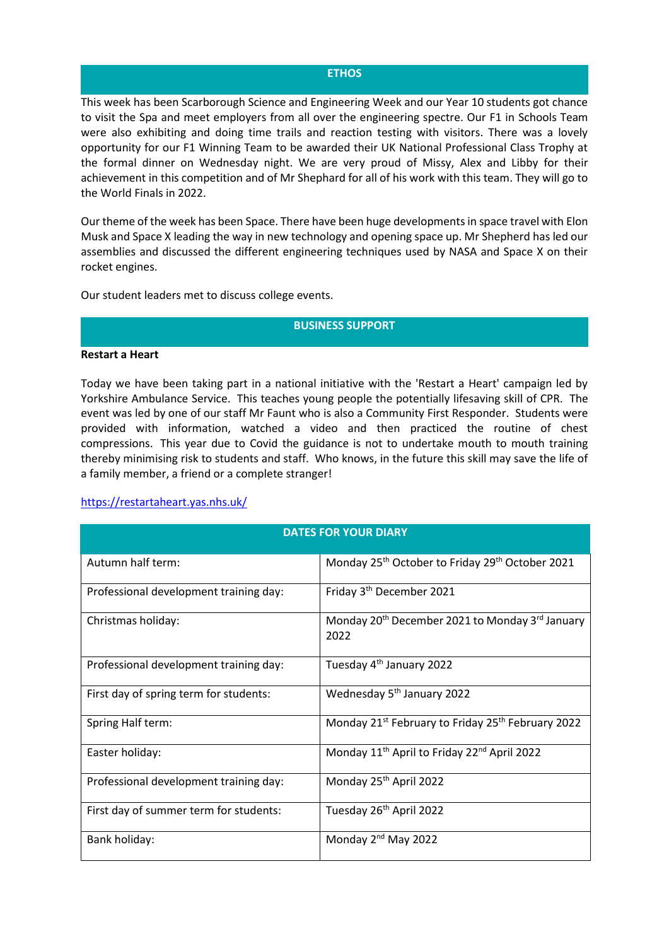## **ETHOS**

This week has been Scarborough Science and Engineering Week and our Year 10 students got chance to visit the Spa and meet employers from all over the engineering spectre. Our F1 in Schools Team were also exhibiting and doing time trails and reaction testing with visitors. There was a lovely opportunity for our F1 Winning Team to be awarded their UK National Professional Class Trophy at the formal dinner on Wednesday night. We are very proud of Missy, Alex and Libby for their achievement in this competition and of Mr Shephard for all of his work with this team. They will go to the World Finals in 2022.

Our theme of the week has been Space. There have been huge developments in space travel with Elon Musk and Space X leading the way in new technology and opening space up. Mr Shepherd has led our assemblies and discussed the different engineering techniques used by NASA and Space X on their rocket engines.

Our student leaders met to discuss college events.

## **BUSINESS SUPPORT**

#### **Restart a Heart**

Today we have been taking part in a national initiative with the 'Restart a Heart' campaign led by Yorkshire Ambulance Service. This teaches young people the potentially lifesaving skill of CPR. The event was led by one of our staff Mr Faunt who is also a Community First Responder. Students were provided with information, watched a video and then practiced the routine of chest compressions. This year due to Covid the guidance is not to undertake mouth to mouth training thereby minimising risk to students and staff. Who knows, in the future this skill may save the life of a family member, a friend or a complete stranger!

# <https://restartaheart.yas.nhs.uk/>

| <b>DATES FOR YOUR DIARY</b>            |                                                                                 |
|----------------------------------------|---------------------------------------------------------------------------------|
| Autumn half term:                      | Monday 25 <sup>th</sup> October to Friday 29 <sup>th</sup> October 2021         |
| Professional development training day: | Friday 3 <sup>th</sup> December 2021                                            |
| Christmas holiday:                     | Monday 20 <sup>th</sup> December 2021 to Monday 3 <sup>rd</sup> January<br>2022 |
| Professional development training day: | Tuesday 4 <sup>th</sup> January 2022                                            |
| First day of spring term for students: | Wednesday 5 <sup>th</sup> January 2022                                          |
| Spring Half term:                      | Monday 21st February to Friday 25th February 2022                               |
| Easter holiday:                        | Monday 11 <sup>th</sup> April to Friday 22 <sup>nd</sup> April 2022             |
| Professional development training day: | Monday 25 <sup>th</sup> April 2022                                              |
| First day of summer term for students: | Tuesday 26 <sup>th</sup> April 2022                                             |
| Bank holiday:                          | Monday 2 <sup>nd</sup> May 2022                                                 |